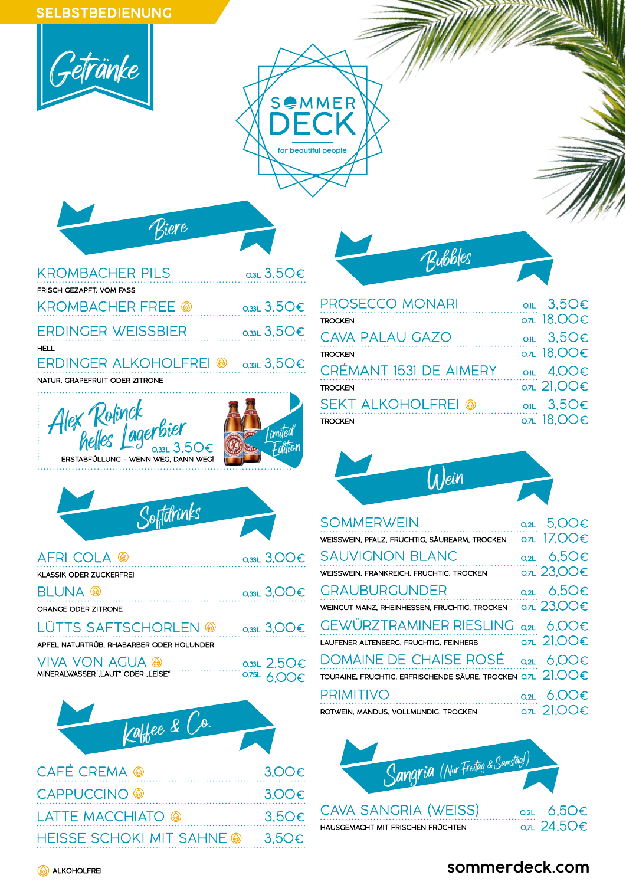## SELBSTBEDIENUNG



| <b>KROMBACHER PILS</b>         | $_{Q,3L}$ 3,50 $\in$     |
|--------------------------------|--------------------------|
| FRISCH GEZAPFT. VOM FASS       |                          |
| <b>KROMBACHER FREE</b> @       | $_{\text{o}}$ 3.50 $\in$ |
| <b>ERDINGER WEISSBIER</b>      | $_{\text{o}}$ 3.50 $\in$ |
| <b>HELL</b>                    |                          |
| ERDINGER ALKOHOLFREI @         | $_{Q,33L}$ 3,50 $\in$    |
| NATUR. GRAPEFRUIT ODER ZITRONE |                          |
|                                |                          |

Biere







| AFRI COLA @                              | $0.33L$ 3,00 $\varepsilon$ |
|------------------------------------------|----------------------------|
| KLASSIK ODER ZUCKERFREI                  |                            |
| <b>BLUNA</b> @                           | $0.33L$ 3,00 $\varepsilon$ |
| ORANGE ODER ZITRONE                      |                            |
| LÜTTS SAFTSCHORLEN @                     | $0.33L$ 3,00 $\varepsilon$ |
| APFEL NATURTRÜB. RHABARBER ODER HOLUNDER |                            |
| VIVA VON AGUA @                          | $0.33L$ 2.50 $\varepsilon$ |
| MINERALWASSER , LAUT ODER , LEISE        | $0.751$ A $\cap$ $\cap$    |



<sup>0,75L</sup> 6,00€

**Limited** Edition

| CAFÉ CREMA @                    | $3.00\varepsilon$ |
|---------------------------------|-------------------|
| CAPPUCCINO @                    | $3.00\varepsilon$ |
| <b>LATTE MACCHIATO @</b>        | 3.5O <sub>€</sub> |
| HEISSE SCHOKI MIT SAHNE . 3,50€ |                   |

| <b>Bubbles</b> |  |
|----------------|--|
|                |  |
|                |  |

for beautiful people

SOMMER

| <b>PROSECCO MONARI</b>    | O.IL $3,50\varepsilon$        |
|---------------------------|-------------------------------|
| <b>TROCKEN</b>            | о. л 18, ОО€                  |
| CAVA PALAU GAZO           | O.IL $3.5O\epsilon$           |
| <b>TROCKEN</b>            | о. л. 18, ОО€                 |
| CRÉMANT 1531 DE AIMERY    | O.IL $4.00 \epsilon$          |
| <b>TROCKEN</b>            | $\overline{0.7L}$ 21,00 $\in$ |
| <b>SEKT ALKOHOLFREI @</b> | O.IL $3,50 \in$               |
| <b>TROCKEN</b>            | о. л 18, ОО€                  |



| <b>SOMMERWEIN</b>                                                                         | 0.2L 5.00 $\in$         |
|-------------------------------------------------------------------------------------------|-------------------------|
| WEISSWEIN, PFALZ, FRUCHTIG, SÄUREARM, TROCKEN                                             | $OZL$ 17.00 $\in$       |
| <b>SAUVIGNON BLANC</b>                                                                    | 0.2L $6.5O€$            |
| WEISSWEIN, FRANKREICH, FRUCHTIG, TROCKEN                                                  | $OZ$ 23,00 $\in$        |
| <b>GRAUBURGUNDER</b>                                                                      | O.2L $6,50 \in$         |
| WEINGUT MANZ, RHEINHESSEN, FRUCHTIG, TROCKEN                                              | 0.7L 23,00€             |
| <b>GEWÜRZTRAMINER RIESLING</b>                                                            | 0.2L $6.00\varepsilon$  |
| LAUFENER ALTENBERG, FRUCHTIG, FEINHERB                                                    | 0.7L 21,00€             |
| DOMAINE DE CHAISE ROSÉ                                                                    | 0.2L $6.00 \in$         |
| TOURAINE, FRUCHTIG, ERFRISCHENDE SÄURE. TROCKEN 0.7L $\hspace{.1cm} 21\mathrm{OO} \oplus$ |                         |
| <b>PRIMITIVO</b>                                                                          | 0.2L $6.00\varepsilon$  |
| ROTWEIN, MANDUS, VOLLMUNDIG, TROCKEN                                                      | O.7L $21.00\varepsilon$ |



## **sommerdeck.com**